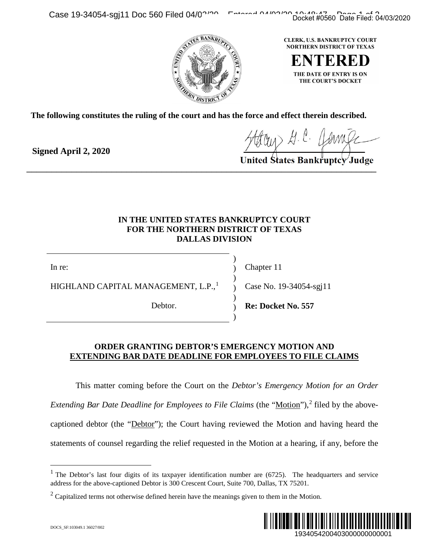

**The following constitutes the ruling of the court and has the force and effect therein described.**

**Signed April 2, 2020**

 $\overline{\phantom{a}}$  ,  $\overline{\phantom{a}}$  ,  $\overline{\phantom{a}}$  ,  $\overline{\phantom{a}}$  ,  $\overline{\phantom{a}}$  ,  $\overline{\phantom{a}}$  ,  $\overline{\phantom{a}}$  ,  $\overline{\phantom{a}}$  ,  $\overline{\phantom{a}}$ 

## **IN THE UNITED STATES BANKRUPTCY COURT FOR THE NORTHERN DISTRICT OF TEXAS DALLAS DIVISION**

) ) ) ) ) ) )

In re:

HIGHLAND CAPITAL MANAGEMENT, L.P.,<sup>[1](#page-0-0)</sup>

Debtor.

Chapter 11

Case No. 19-34054-sgj11

**Re: Docket No. 557**

## **ORDER GRANTING DEBTOR'S EMERGENCY MOTION AND EXTENDING BAR DATE DEADLINE FOR EMPLOYEES TO FILE CLAIMS**

This matter coming before the Court on the *Debtor's Emergency Motion for an Order Extending Bar Date Deadline for Employees to File Claims* (the "Motion"),<sup>[2](#page-0-1)</sup> filed by the abovecaptioned debtor (the "Debtor"); the Court having reviewed the Motion and having heard the statements of counsel regarding the relief requested in the Motion at a hearing, if any, before the Docket #0560 Date Filed: 04/03/2020<br>
ERK, U.S. BANKRUPTCY COURT<br>
RETHERN DISTRICT OF TEXAS<br>
THE DATE OF ENTRY IS ON<br>
THE DATE OF ENTRY IS ON<br>
THE COURTS DOCKET<br>
ect therein described.<br>  $\frac{1}{2}$ ,  $\frac{\beta}{\alpha}$ .  $\frac{\beta}{\alpha}$ .

<span id="page-0-1"></span> $2$  Capitalized terms not otherwise defined herein have the meanings given to them in the Motion.



<span id="page-0-0"></span><sup>&</sup>lt;sup>1</sup> The Debtor's last four digits of its taxpayer identification number are  $(6725)$ . The headquarters and service address for the above-captioned Debtor is 300 Crescent Court, Suite 700, Dallas, TX 75201.